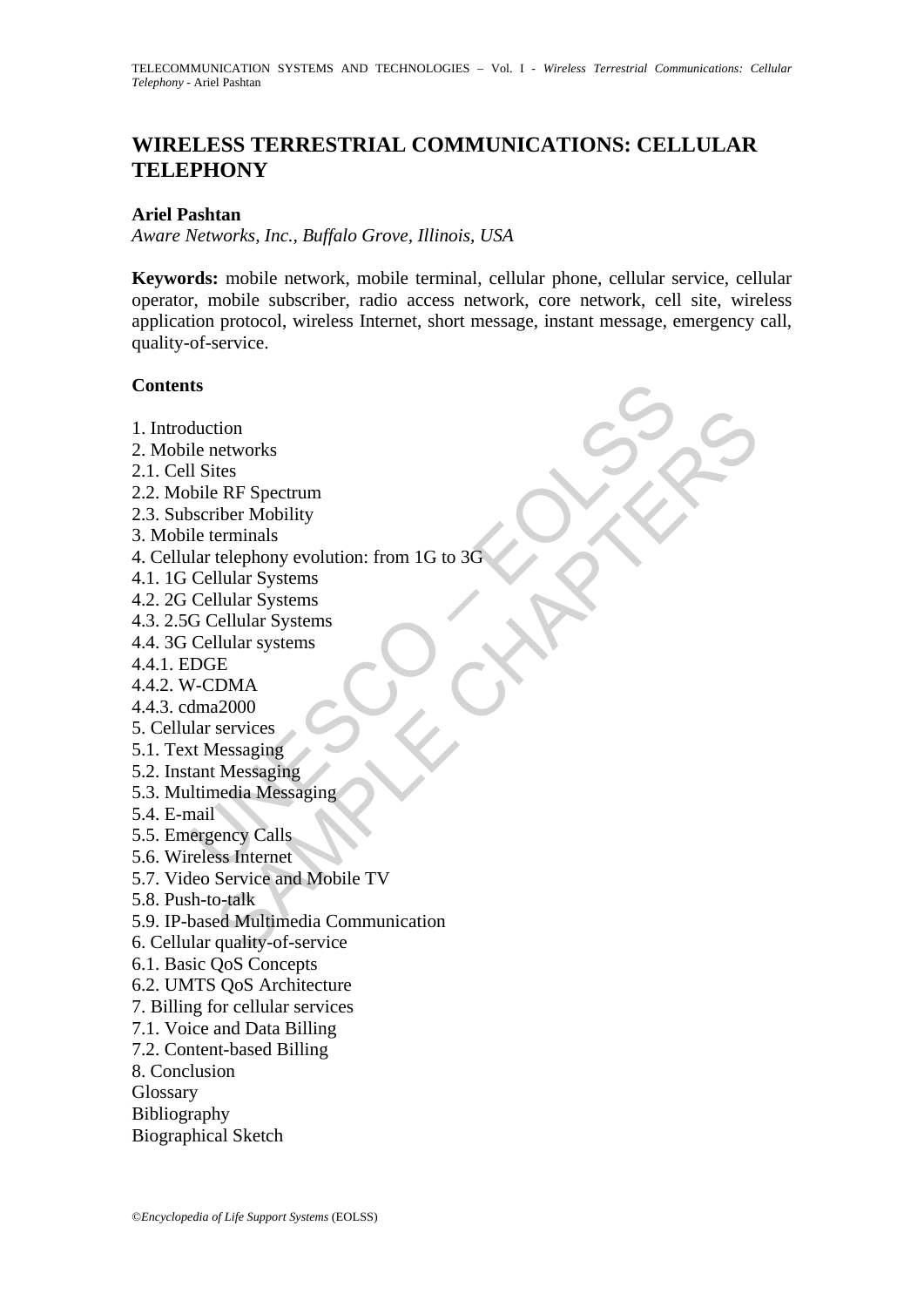## **WIRELESS TERRESTRIAL COMMUNICATIONS: CELLULAR TELEPHONY**

#### **Ariel Pashtan**

*Aware Networks, Inc., Buffalo Grove, Illinois, USA* 

**Keywords:** mobile network, mobile terminal, cellular phone, cellular service, cellular operator, mobile subscriber, radio access network, core network, cell site, wireless application protocol, wireless Internet, short message, instant message, emergency call, quality-of-service.

#### **Contents**

- 1. Introduction
- 2. Mobile networks
- 2.1. Cell Sites
- 2.2. Mobile RF Spectrum
- 2.3. Subscriber Mobility
- 3. Mobile terminals
- ts<br>
duction<br>
le networks<br>
l Sites<br>
bile RF Spectrum<br>
sscriber Mobility<br>
le terminals<br>
le terminals<br>
Cellular Systems<br>
Cellular Systems<br>
Cellular Systems<br>
Cellular Systems<br>
Cellular Systems<br>
Cellular Systems<br>
Cellular Syste tion<br>
networks<br>
ties<br>
re RF Spectrum<br>
diver Mobility<br>
erminals<br>
telephony evolution: from 1G to 3G<br>
Illular Systems<br>
Cellular Systems<br>
Cellular Systems<br>
Cellular Systems<br>
DMA<br>
2000<br>
services<br>
Messaging<br>
ency Calls<br>
Messagi 4. Cellular telephony evolution: from 1G to 3G
- 4.1. 1G Cellular Systems
- 4.2. 2G Cellular Systems
- 4.3. 2.5G Cellular Systems
- 4.4. 3G Cellular systems
- 4.4.1. EDGE
- 4.4.2. W-CDMA
- 4.4.3. cdma2000
- 5. Cellular services
- 5.1. Text Messaging
- 5.2. Instant Messaging
- 5.3. Multimedia Messaging
- 5.4. E-mail
- 5.5. Emergency Calls
- 5.6. Wireless Internet
- 5.7. Video Service and Mobile TV
- 5.8. Push-to-talk
- 5.9. IP-based Multimedia Communication
- 6. Cellular quality-of-service
- 6.1. Basic QoS Concepts
- 6.2. UMTS QoS Architecture
- 7. Billing for cellular services
- 7.1. Voice and Data Billing
- 7.2. Content-based Billing
- 8. Conclusion
- **Glossary**
- Bibliography
- Biographical Sketch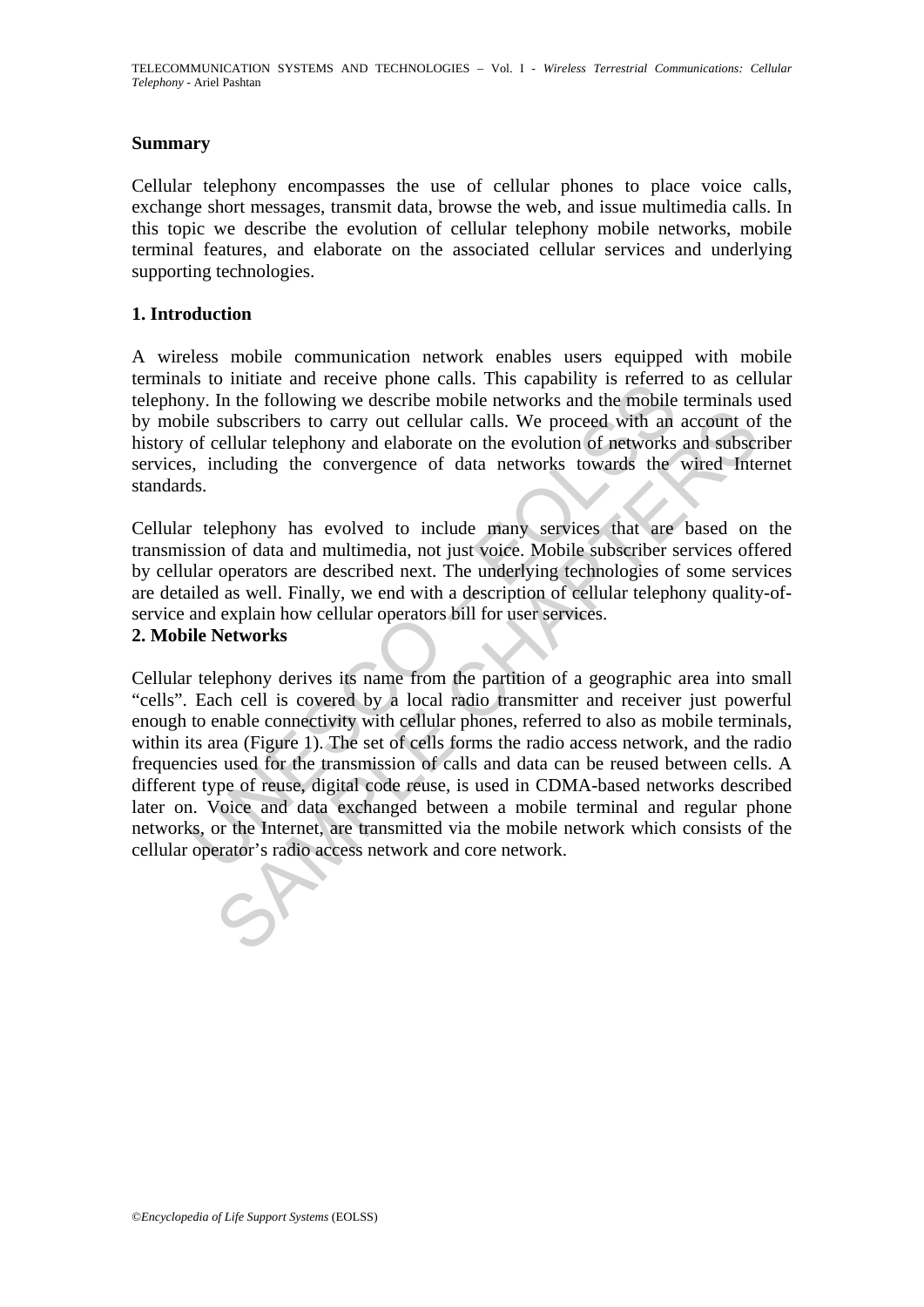#### **Summary**

Cellular telephony encompasses the use of cellular phones to place voice calls, exchange short messages, transmit data, browse the web, and issue multimedia calls. In this topic we describe the evolution of cellular telephony mobile networks, mobile terminal features, and elaborate on the associated cellular services and underlying supporting technologies.

### **1. Introduction**

A wireless mobile communication network enables users equipped with mobile terminals to initiate and receive phone calls. This capability is referred to as cellular telephony. In the following we describe mobile networks and the mobile terminals used by mobile subscribers to carry out cellular calls. We proceed with an account of the history of cellular telephony and elaborate on the evolution of networks and subscriber services, including the convergence of data networks towards the wired Internet standards.

Cellular telephony has evolved to include many services that are based on the transmission of data and multimedia, not just voice. Mobile subscriber services offered by cellular operators are described next. The underlying technologies of some services are detailed as well. Finally, we end with a description of cellular telephony quality-ofservice and explain how cellular operators bill for user services.

#### **2. Mobile Networks**

Is to inflate and receive plone cans. This capability is released by the following we describe mobile networks and the mobile subscribers to carry out cellular calls. We proceed with an of cellular telephony and elaborate subscribers to carry out cellular calls. We proceed with an account of<br>subscribers to carry out cellular calls. We proceed with an account of<br>cellular telephony and elaborate on the evolution of networks and subset<br>ncludin Cellular telephony derives its name from the partition of a geographic area into small "cells". Each cell is covered by a local radio transmitter and receiver just powerful enough to enable connectivity with cellular phones, referred to also as mobile terminals, within its area (Figure 1). The set of cells forms the radio access network, and the radio frequencies used for the transmission of calls and data can be reused between cells. A different type of reuse, digital code reuse, is used in CDMA-based networks described later on. Voice and data exchanged between a mobile terminal and regular phone networks, or the Internet, are transmitted via the mobile network which consists of the cellular operator's radio access network and core network.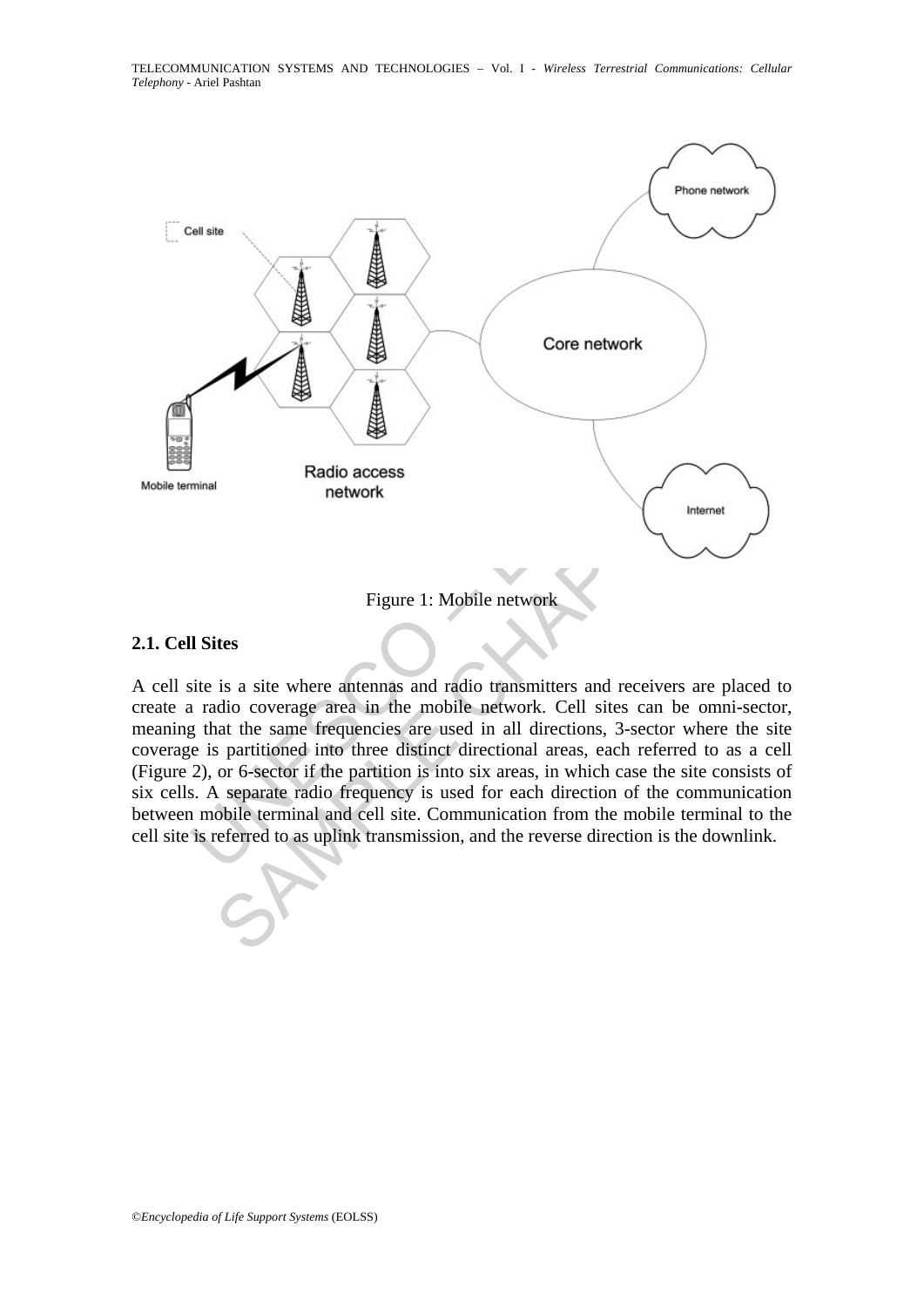

#### **2.1. Cell Sites**

A cell site is a site where antennas and radio transmitters and receivers are placed to create a radio coverage area in the mobile network. Cell sites can be omni-sector, meaning that the same frequencies are used in all directions, 3-sector where the site coverage is partitioned into three distinct directional areas, each referred to as a cell (Figure 2), or 6-sector if the partition is into six areas, in which case the site consists of six cells. A separate radio frequency is used for each direction of the communication between mobile terminal and cell site. Communication from the mobile terminal to the cell site is referred to as uplink transmission, and the reverse direction is the downlink.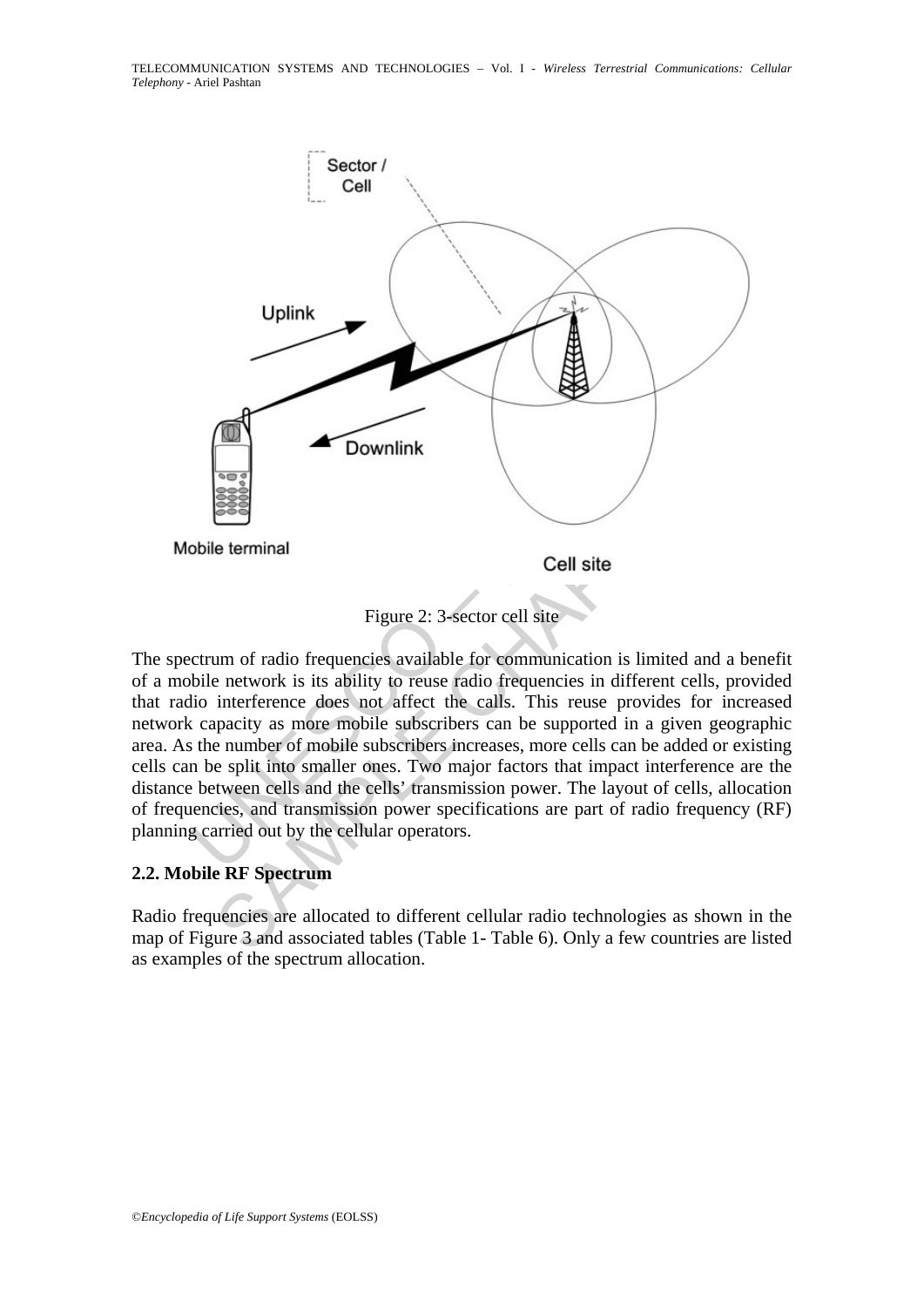TELECOMMUNICATION SYSTEMS AND TECHNOLOGIES – Vol. I - *Wireless Terrestrial Communications: Cellular Telephony* - Ariel Pashtan



Figure 2: 3-sector cell site

The spectrum of radio frequencies available for communication is limited and a benefit of a mobile network is its ability to reuse radio frequencies in different cells, provided that radio interference does not affect the calls. This reuse provides for increased network capacity as more mobile subscribers can be supported in a given geographic area. As the number of mobile subscribers increases, more cells can be added or existing cells can be split into smaller ones. Two major factors that impact interference are the distance between cells and the cells' transmission power. The layout of cells, allocation of frequencies, and transmission power specifications are part of radio frequency (RF) planning carried out by the cellular operators.

## **2.2. Mobile RF Spectrum**

Radio frequencies are allocated to different cellular radio technologies as shown in the map of Figure 3 and associated tables (Table 1- Table 6). Only a few countries are listed as examples of the spectrum allocation.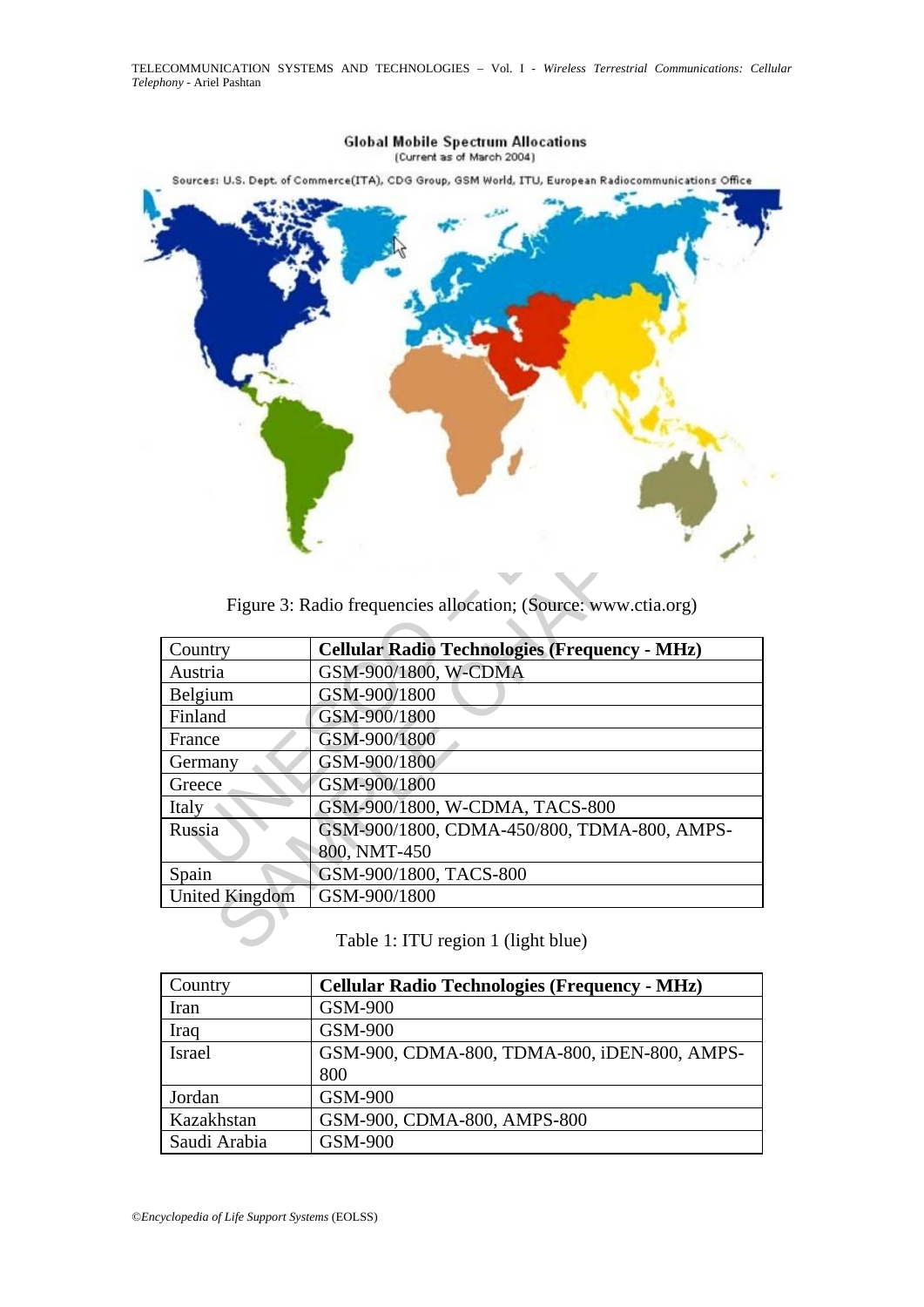

Figure 3: Radio frequencies allocation; (Source: www.ctia.org)

|                       | Figure 3: Radio frequencies allocation; (Source: www.ctia.org) |
|-----------------------|----------------------------------------------------------------|
| Country               | <b>Cellular Radio Technologies (Frequency - MHz)</b>           |
| Austria               | GSM-900/1800, W-CDMA                                           |
| Belgium               | GSM-900/1800                                                   |
| Finland               | GSM-900/1800                                                   |
| France                | GSM-900/1800                                                   |
| Germany               | GSM-900/1800                                                   |
| Greece                | GSM-900/1800                                                   |
| Italy                 | GSM-900/1800, W-CDMA, TACS-800                                 |
| Russia                | GSM-900/1800, CDMA-450/800, TDMA-800, AMPS-                    |
|                       | 800, NMT-450                                                   |
| Spain                 | GSM-900/1800, TACS-800                                         |
| <b>United Kingdom</b> | GSM-900/1800                                                   |
|                       | Table 1: ITU region 1 (light blue)                             |

## Table 1: ITU region 1 (light blue)

| Country      | <b>Cellular Radio Technologies (Frequency - MHz)</b> |
|--------------|------------------------------------------------------|
| Iran         | GSM-900                                              |
| Iraq         | GSM-900                                              |
| Israel       | GSM-900, CDMA-800, TDMA-800, iDEN-800, AMPS-         |
|              | 800                                                  |
| Jordan       | <b>GSM-900</b>                                       |
| Kazakhstan   | GSM-900, CDMA-800, AMPS-800                          |
| Saudi Arabia | <b>GSM-900</b>                                       |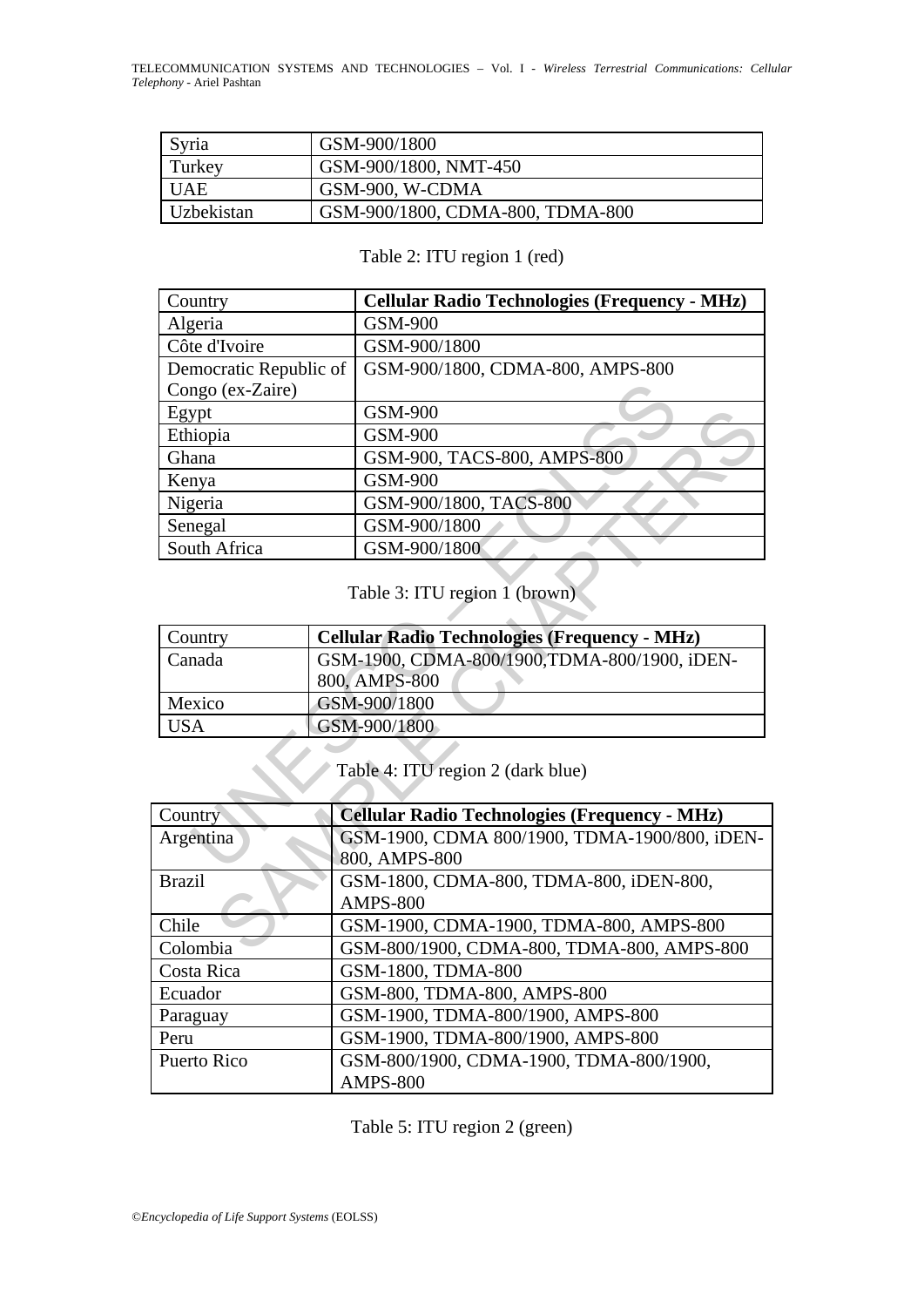TELECOMMUNICATION SYSTEMS AND TECHNOLOGIES – Vol. I - *Wireless Terrestrial Communications: Cellular Telephony* - Ariel Pashtan

| Syria      | GSM-900/1800                     |
|------------|----------------------------------|
| Turkey     | GSM-900/1800, NMT-450            |
| <b>UAE</b> | GSM-900, W-CDMA                  |
| Uzbekistan | GSM-900/1800, CDMA-800, TDMA-800 |

## Table 2: ITU region 1 (red)

| Country                           |  | <b>Cellular Radio Technologies (Frequency - MHz)</b> |
|-----------------------------------|--|------------------------------------------------------|
| Algeria                           |  | <b>GSM-900</b>                                       |
| Côte d'Ivoire                     |  | GSM-900/1800                                         |
| Democratic Republic of            |  | GSM-900/1800, CDMA-800, AMPS-800                     |
| Congo (ex-Zaire)                  |  |                                                      |
| Egypt                             |  | <b>GSM-900</b>                                       |
| Ethiopia                          |  | <b>GSM-900</b>                                       |
| Ghana                             |  | GSM-900, TACS-800, AMPS-800                          |
| Kenya                             |  | <b>GSM-900</b>                                       |
| Nigeria                           |  | GSM-900/1800, TACS-800                               |
| Senegal                           |  | GSM-900/1800                                         |
| South Africa                      |  | GSM-900/1800                                         |
|                                   |  | Table 3: ITU region 1 (brown)                        |
| Country                           |  | <b>Cellular Radio Technologies (Frequency - MHz)</b> |
| Canada                            |  | GSM-1900, CDMA-800/1900, TDMA-800/1900, iDEN-        |
|                                   |  | 800, AMPS-800                                        |
| Mexico                            |  | GSM-900/1800                                         |
| <b>USA</b>                        |  | GSM-900/1800                                         |
| Table 4: ITU region 2 (dark blue) |  |                                                      |
| Country                           |  | <b>Cellular Radio Technologies (Frequency - MHz)</b> |
| Argentina                         |  | GSM-1900, CDMA 800/1900, TDMA-1900/800, iDEN-        |
|                                   |  | 800, AMPS-800                                        |
| <b>Brazil</b>                     |  | GSM-1800, CDMA-800, TDMA-800, iDEN-800,              |
|                                   |  | <b>AMPS-800</b>                                      |
| Chile                             |  | GSM-1900, CDMA-1900, TDMA-800, AMPS-800              |
| Colombia                          |  | GSM-800/1900, CDMA-800, TDMA-800, AMPS-800           |

# Table 3: ITU region 1 (brown)

| Country    | <b>Cellular Radio Technologies (Frequency - MHz)</b>           |
|------------|----------------------------------------------------------------|
| Canada     | GSM-1900, CDMA-800/1900, TDMA-800/1900, iDEN-<br>800, AMPS-800 |
| Mexico     | GSM-900/1800                                                   |
| <b>USA</b> | GSM-900/1800                                                   |

# Table 4: ITU region 2 (dark blue)

| Country       | <b>Cellular Radio Technologies (Frequency - MHz)</b> |
|---------------|------------------------------------------------------|
| Argentina     | GSM-1900, CDMA 800/1900, TDMA-1900/800, iDEN-        |
|               | 800, AMPS-800                                        |
| <b>Brazil</b> | GSM-1800, CDMA-800, TDMA-800, iDEN-800,              |
|               | <b>AMPS-800</b>                                      |
| Chile         | GSM-1900, CDMA-1900, TDMA-800, AMPS-800              |
| Colombia      | GSM-800/1900, CDMA-800, TDMA-800, AMPS-800           |
| Costa Rica    | GSM-1800, TDMA-800                                   |
| Ecuador       | GSM-800, TDMA-800, AMPS-800                          |
| Paraguay      | GSM-1900, TDMA-800/1900, AMPS-800                    |
| Peru          | GSM-1900, TDMA-800/1900, AMPS-800                    |
| Puerto Rico   | GSM-800/1900, CDMA-1900, TDMA-800/1900,              |
|               | <b>AMPS-800</b>                                      |

Table 5: ITU region 2 (green)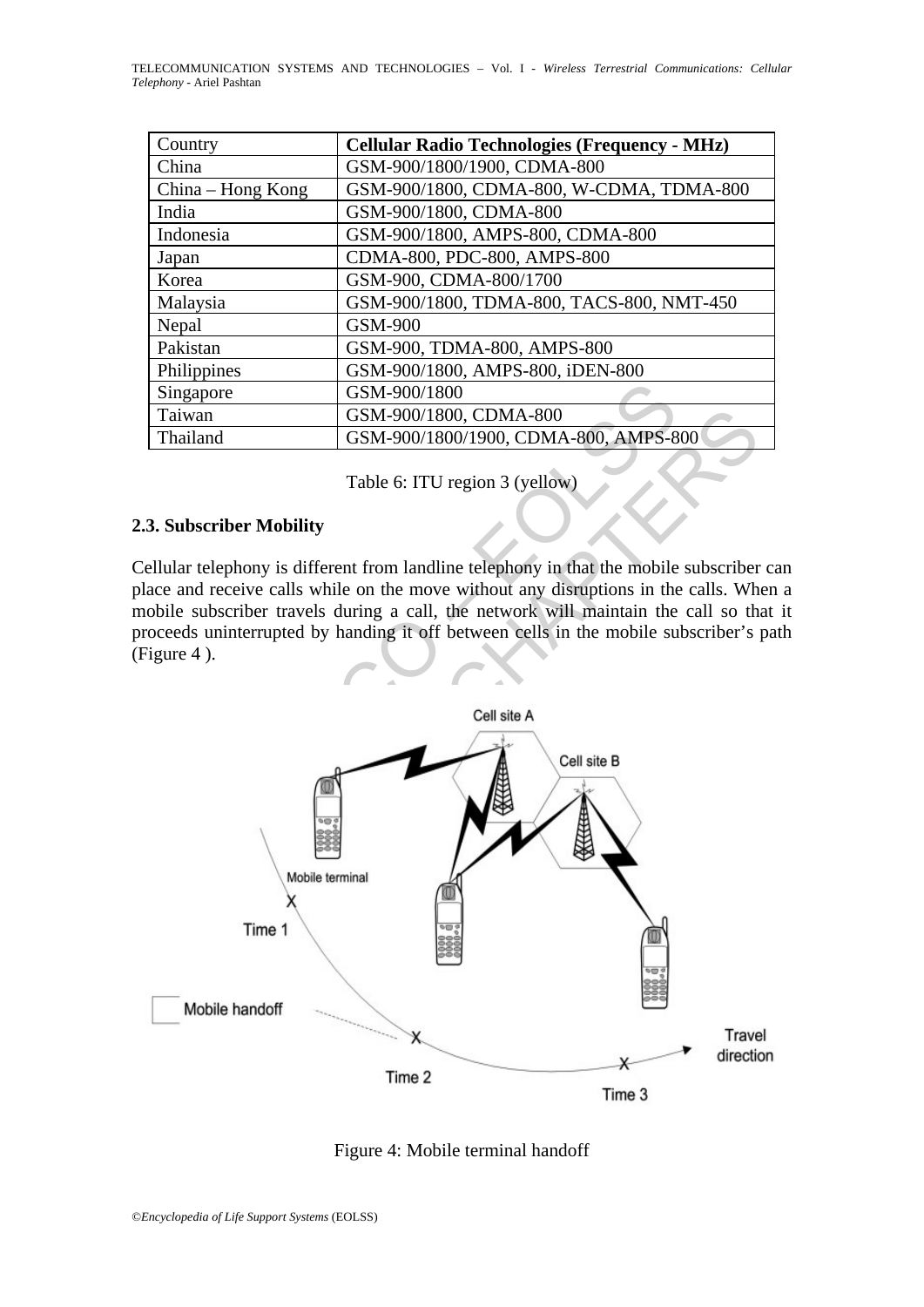| Country             | <b>Cellular Radio Technologies (Frequency - MHz)</b> |
|---------------------|------------------------------------------------------|
| China               | GSM-900/1800/1900, CDMA-800                          |
| $China - Hong Kong$ | GSM-900/1800, CDMA-800, W-CDMA, TDMA-800             |
| India               | GSM-900/1800, CDMA-800                               |
| Indonesia           | GSM-900/1800, AMPS-800, CDMA-800                     |
| Japan               | CDMA-800, PDC-800, AMPS-800                          |
| Korea               | GSM-900, CDMA-800/1700                               |
| Malaysia            | GSM-900/1800, TDMA-800, TACS-800, NMT-450            |
| Nepal               | GSM-900                                              |
| Pakistan            | GSM-900, TDMA-800, AMPS-800                          |
| Philippines         | GSM-900/1800, AMPS-800, iDEN-800                     |
| Singapore           | GSM-900/1800                                         |
| Taiwan              | GSM-900/1800, CDMA-800                               |
| Thailand            | GSM-900/1800/1900, CDMA-800, AMPS-800                |

Table 6: ITU region 3 (yellow)

## **2.3. Subscriber Mobility**

Cellular telephony is different from landline telephony in that the mobile subscriber can place and receive calls while on the move without any disruptions in the calls. When a mobile subscriber travels during a call, the network will maintain the call so that it proceeds uninterrupted by handing it off between cells in the mobile subscriber's path (Figure 4 ).



Figure 4: Mobile terminal handoff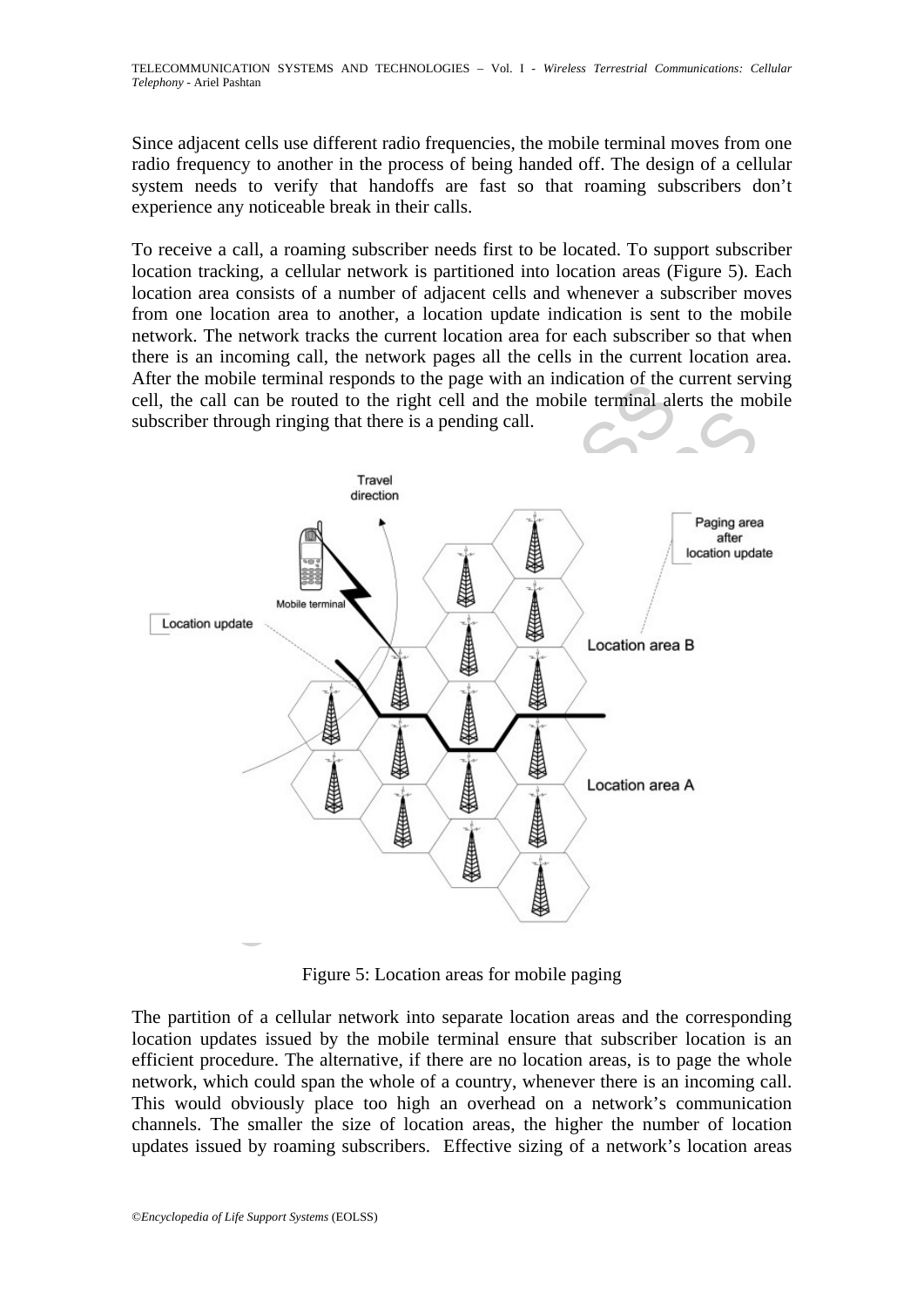Since adjacent cells use different radio frequencies, the mobile terminal moves from one radio frequency to another in the process of being handed off. The design of a cellular system needs to verify that handoffs are fast so that roaming subscribers don't experience any noticeable break in their calls.

To receive a call, a roaming subscriber needs first to be located. To support subscriber location tracking, a cellular network is partitioned into location areas (Figure 5). Each location area consists of a number of adjacent cells and whenever a subscriber moves from one location area to another, a location update indication is sent to the mobile network. The network tracks the current location area for each subscriber so that when there is an incoming call, the network pages all the cells in the current location area. After the mobile terminal responds to the page with an indication of the current serving cell, the call can be routed to the right cell and the mobile terminal alerts the mobile subscriber through ringing that there is a pending call.



Figure 5: Location areas for mobile paging

The partition of a cellular network into separate location areas and the corresponding location updates issued by the mobile terminal ensure that subscriber location is an efficient procedure. The alternative, if there are no location areas, is to page the whole network, which could span the whole of a country, whenever there is an incoming call. This would obviously place too high an overhead on a network's communication channels. The smaller the size of location areas, the higher the number of location updates issued by roaming subscribers. Effective sizing of a network's location areas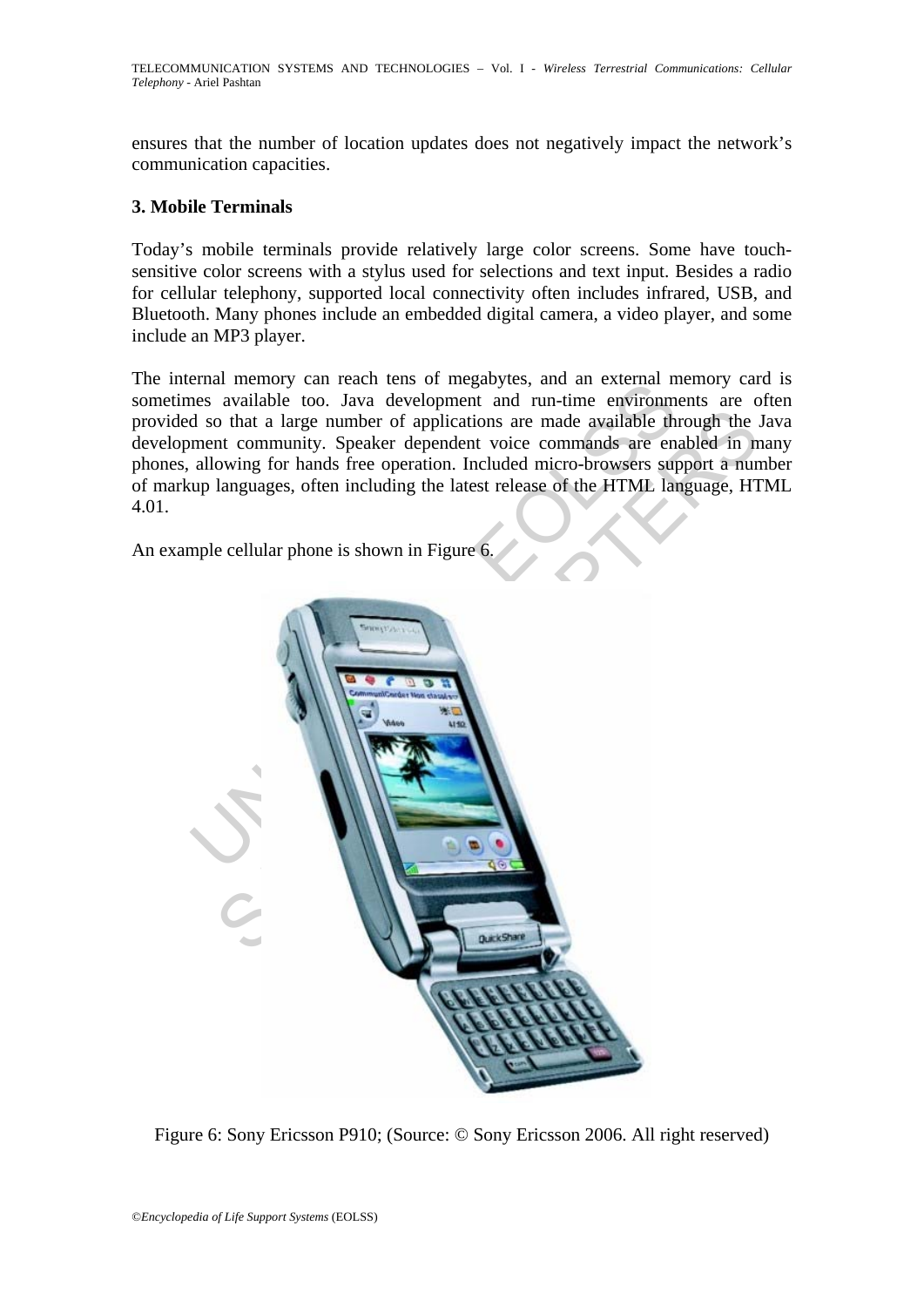ensures that the number of location updates does not negatively impact the network's communication capacities.

### **3. Mobile Terminals**

Today's mobile terminals provide relatively large color screens. Some have touchsensitive color screens with a stylus used for selections and text input. Besides a radio for cellular telephony, supported local connectivity often includes infrared, USB, and Bluetooth. Many phones include an embedded digital camera, a video player, and some include an MP3 player.

The internal memory can reach tens of megabytes, and an external memory card is sometimes available too. Java development and run-time environments are often provided so that a large number of applications are made available through the Java development community. Speaker dependent voice commands are enabled in many phones, allowing for hands free operation. Included micro-browsers support a number of markup languages, often including the latest release of the HTML language, HTML 4.01.

An example cellular phone is shown in Figure 6.



Figure 6: Sony Ericsson P910; (Source: © Sony Ericsson 2006. All right reserved)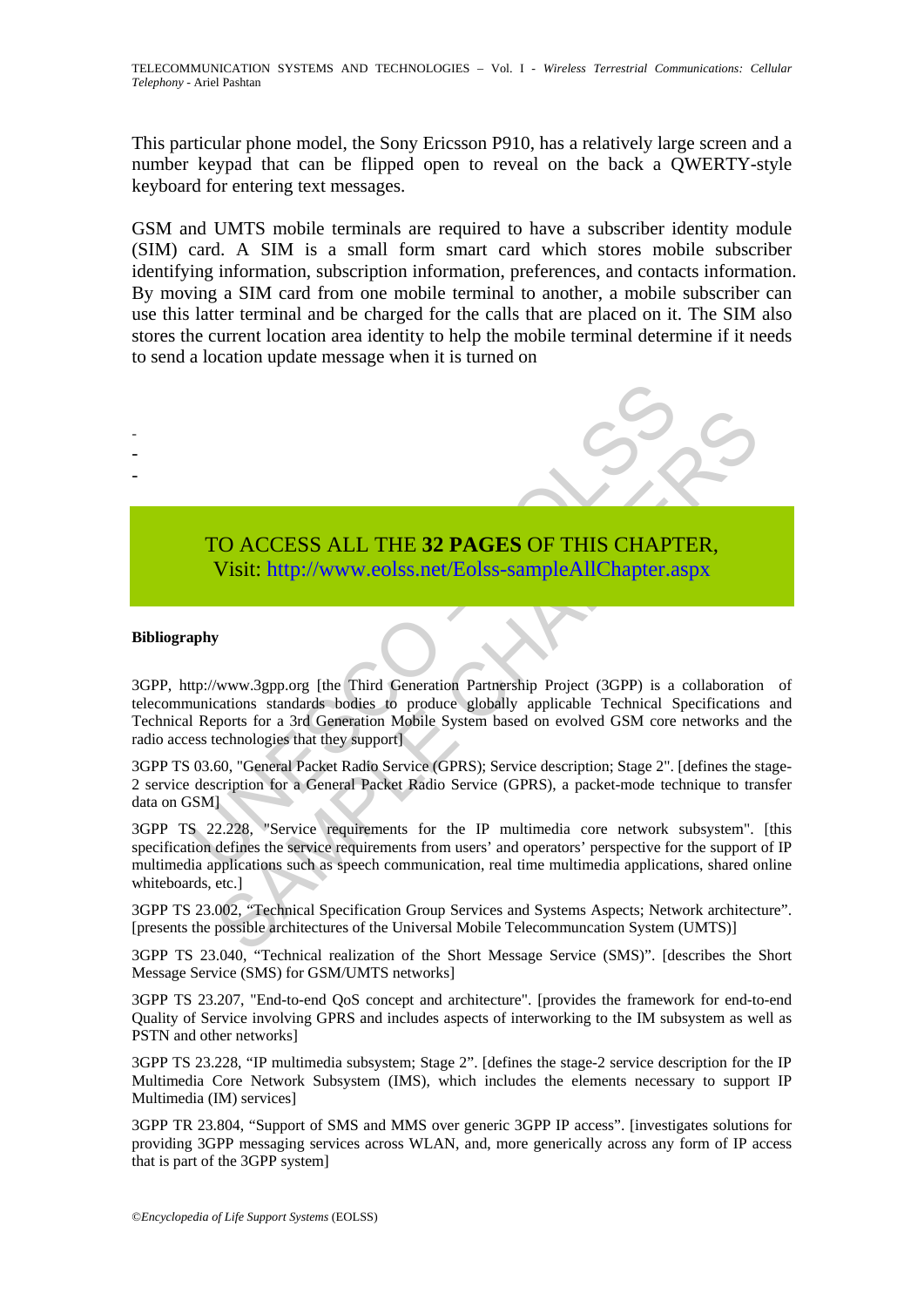This particular phone model, the Sony Ericsson P910, has a relatively large screen and a number keypad that can be flipped open to reveal on the back a QWERTY-style keyboard for entering text messages.

GSM and UMTS mobile terminals are required to have a subscriber identity module (SIM) card. A SIM is a small form smart card which stores mobile subscriber identifying information, subscription information, preferences, and contacts information. By moving a SIM card from one mobile terminal to another, a mobile subscriber can use this latter terminal and be charged for the calls that are placed on it. The SIM also stores the current location area identity to help the mobile terminal determine if it needs to send a location update message when it is turned on

# TO ACCESS ALL THE **32 PAGES** OF THIS CHAPTER, Visit: http://www.eolss.net/Eolss-sampleAllChapter.aspx

#### **Bibliography**

- - -

TO ACCESS ALL THE 32 PAGES OF THIS CHAPT<br>Visit: http://www.eolss.net/Eolss-sampleAllChapter.a<br>phy<br>tp://www.3gpp.org [the Third Generation Partnership Project (3GPP) is a<br>punications standards bodies to produce globally app SAMPLE CH[APT](https://www.eolss.net/ebooklib/sc_cart.aspx?File=E6-108-08-00)ERS 3GPP, http://www.3gpp.org [the Third Generation Partnership Project (3GPP) is a collaboration of telecommunications standards bodies to produce globally applicable Technical Specifications and Technical Reports for a 3rd Generation Mobile System based on evolved GSM core networks and the radio access technologies that they support]

3GPP TS 03.60, "General Packet Radio Service (GPRS); Service description; Stage 2". [defines the stage-2 service description for a General Packet Radio Service (GPRS), a packet-mode technique to transfer data on GSM]

3GPP TS 22.228, "Service requirements for the IP multimedia core network subsystem". [this specification defines the service requirements from users' and operators' perspective for the support of IP multimedia applications such as speech communication, real time multimedia applications, shared online whiteboards, etc.]

3GPP TS 23.002, "Technical Specification Group Services and Systems Aspects; Network architecture". [presents the possible architectures of the Universal Mobile Telecommuncation System (UMTS)]

3GPP TS 23.040, "Technical realization of the Short Message Service (SMS)". [describes the Short Message Service (SMS) for GSM/UMTS networks]

3GPP TS 23.207, "End-to-end QoS concept and architecture". [provides the framework for end-to-end Quality of Service involving GPRS and includes aspects of interworking to the IM subsystem as well as PSTN and other networks]

3GPP TS 23.228, "IP multimedia subsystem; Stage 2". [defines the stage-2 service description for the IP Multimedia Core Network Subsystem (IMS), which includes the elements necessary to support IP Multimedia (IM) services]

3GPP TR 23.804, "Support of SMS and MMS over generic 3GPP IP access". [investigates solutions for providing 3GPP messaging services across WLAN, and, more generically across any form of IP access that is part of the 3GPP system]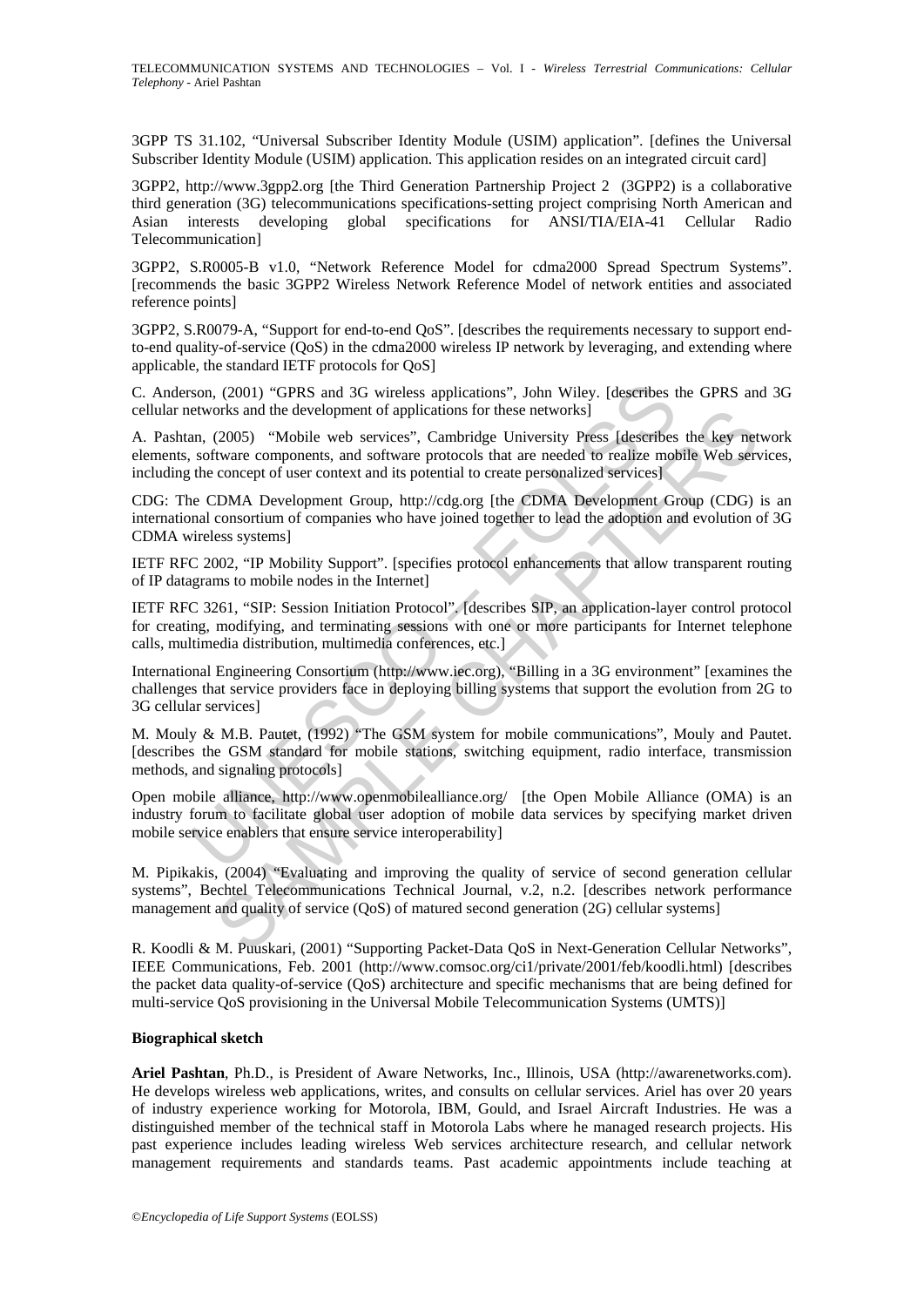3GPP TS 31.102, "Universal Subscriber Identity Module (USIM) application". [defines the Universal Subscriber Identity Module (USIM) application. This application resides on an integrated circuit card]

3GPP2, http://www.3gpp2.org [the Third Generation Partnership Project 2 (3GPP2) is a collaborative third generation (3G) telecommunications specifications-setting project comprising North American and Asian interests developing global specifications for ANSI/TIA/EIA-41 Cellular Radio Telecommunication]

3GPP2, S.R0005-B v1.0, "Network Reference Model for cdma2000 Spread Spectrum Systems". [recommends the basic 3GPP2 Wireless Network Reference Model of network entities and associated reference points]

3GPP2, S.R0079-A, "Support for end-to-end QoS". [describes the requirements necessary to support endto-end quality-of-service (QoS) in the cdma2000 wireless IP network by leveraging, and extending where applicable, the standard IETF protocols for QoS]

C. Anderson, (2001) "GPRS and 3G wireless applications", John Wiley. [describes the GPRS and 3G cellular networks and the development of applications for these networks]

A. Pashtan, (2005) "Mobile web services", Cambridge University Press [describes the key network elements, software components, and software protocols that are needed to realize mobile Web services, including the concept of user context and its potential to create personalized services]

CDG: The CDMA Development Group, http://cdg.org [the CDMA Development Group (CDG) is an international consortium of companies who have joined together to lead the adoption and evolution of 3G CDMA wireless systems]

IETF RFC 2002, "IP Mobility Support". [specifies protocol enhancements that allow transparent routing of IP datagrams to mobile nodes in the Internet]

son, (2001) "GPRS and 3G wireless applications", John Wiley. [describes etworks and the development of applications for these networks]<br>an, (2005) "Mobile web services", Cambridge University Press [describes software compo IETF RFC 3261, "SIP: Session Initiation Protocol". [describes SIP, an application-layer control protocol for creating, modifying, and terminating sessions with one or more participants for Internet telephone calls, multimedia distribution, multimedia conferences, etc.]

International Engineering Consortium (http://www.iec.org), "Billing in a 3G environment" [examines the challenges that service providers face in deploying billing systems that support the evolution from 2G to 3G cellular services]

M. Mouly & M.B. Pautet, (1992) "The GSM system for mobile communications", Mouly and Pautet. [describes the GSM standard for mobile stations, switching equipment, radio interface, transmission methods, and signaling protocols]

Open mobile alliance, http://www.openmobilealliance.org/ [the Open Mobile Alliance (OMA) is an industry forum to facilitate global user adoption of mobile data services by specifying market driven mobile service enablers that ensure service interoperability]

orks and the development of applications for these networks]<br>(2005) "Nobile web services", Cambridge University Press [describes the key net<br>ware components, and software protocols that are needed to realize mobile Web ser M. Pipikakis, (2004) "Evaluating and improving the quality of service of second generation cellular systems", Bechtel Telecommunications Technical Journal, v.2, n.2. [describes network performance management and quality of service (QoS) of matured second generation (2G) cellular systems]

R. Koodli & M. Puuskari, (2001) "Supporting Packet-Data QoS in Next-Generation Cellular Networks", IEEE Communications, Feb. 2001 (http://www.comsoc.org/ci1/private/2001/feb/koodli.html) [describes the packet data quality-of-service (QoS) architecture and specific mechanisms that are being defined for multi-service QoS provisioning in the Universal Mobile Telecommunication Systems (UMTS)]

#### **Biographical sketch**

**Ariel Pashtan**, Ph.D., is President of Aware Networks, Inc., Illinois, USA (http://awarenetworks.com). He develops wireless web applications, writes, and consults on cellular services. Ariel has over 20 years of industry experience working for Motorola, IBM, Gould, and Israel Aircraft Industries. He was a distinguished member of the technical staff in Motorola Labs where he managed research projects. His past experience includes leading wireless Web services architecture research, and cellular network management requirements and standards teams. Past academic appointments include teaching at